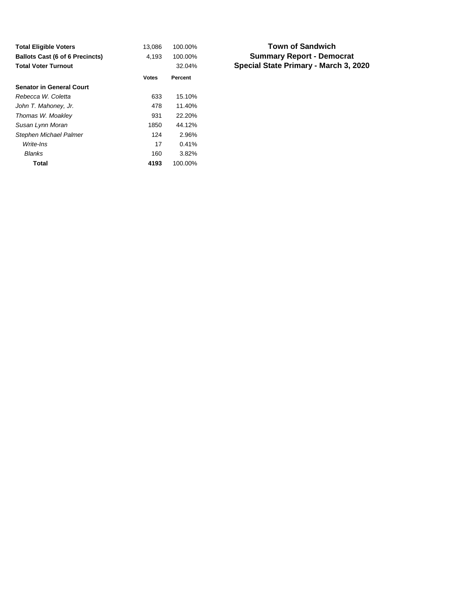| <b>Total Eligible Voters</b>           | 13,086       | 100.00% |
|----------------------------------------|--------------|---------|
| <b>Ballots Cast (6 of 6 Precincts)</b> | 4,193        | 100.00% |
| <b>Total Voter Turnout</b>             |              | 32.04%  |
|                                        | <b>Votes</b> | Percent |
| <b>Senator in General Court</b>        |              |         |
| Rebecca W. Coletta                     | 633          | 15.10%  |
| John T. Mahoney, Jr.                   | 478          | 11.40%  |
| Thomas W. Moakley                      | 931          | 22.20%  |
| Susan Lynn Moran                       | 1850         | 44.12%  |
| Stephen Michael Palmer                 | 124          | 2.96%   |
| Write-Ins                              | 17           | 0.41%   |
| <b>Blanks</b>                          | 160          | 3.82%   |
| Total                                  | 4193         | 100.00% |

#### **Summary Report - Democrat Special State Primary - March 3, 2020 Town of Sandwich**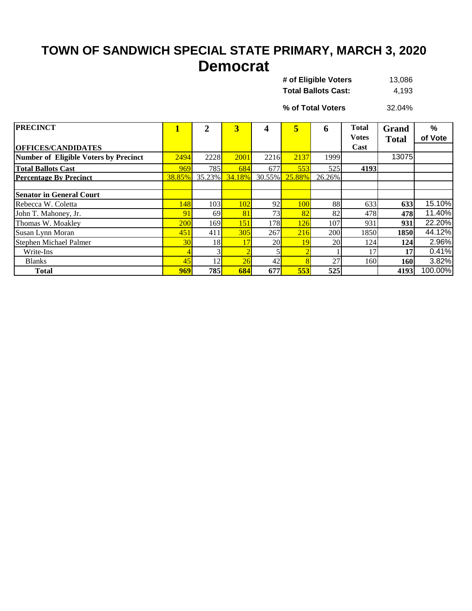## **TOWN OF SANDWICH SPECIAL STATE PRIMARY, MARCH 3, 2020 Democrat**

| 13.086 |
|--------|
| 4.193  |
|        |

32.04% **% of Total Voters**

| <b>PRECINCT</b>                       |            | $\overline{2}$ | $\overline{3}$ |                 | 5              | 6      | <b>Total</b><br><b>Votes</b> | <b>Grand</b> | $\frac{9}{6}$<br>of Vote |
|---------------------------------------|------------|----------------|----------------|-----------------|----------------|--------|------------------------------|--------------|--------------------------|
| <b>OFFICES/CANDIDATES</b>             |            |                |                |                 |                |        | Cast                         | <b>Total</b> |                          |
| Number of Eligible Voters by Precinct | 2494       | 2228           | 2001           | 2216            | 2137           | 1999   |                              | 13075        |                          |
| <b>Total Ballots Cast</b>             | 969        | 785            | 684            | 677             | 553            | 525    | 4193                         |              |                          |
| <b>Percentage By Precinct</b>         | 38.85%     | $35.23\%$      | 34.18%         |                 | 30.55% 25.88%  | 26.26% |                              |              |                          |
|                                       |            |                |                |                 |                |        |                              |              |                          |
| <b>Senator in General Court</b>       |            |                |                |                 |                |        |                              |              |                          |
| Rebecca W. Coletta                    | 148        | 103            | 102            | 92              | 100            | 88     | 633                          | 633          | 15.10%                   |
| John T. Mahoney, Jr.                  | 91         | 69             | 81             | 73 <sub>1</sub> | 82             | 82     | 478                          | 478          | 11.40%                   |
| Thomas W. Moakley                     | <b>200</b> | 169            | 151            | 178             | 126            | 107    | 931                          | 931          | 22.20%                   |
| Susan Lynn Moran                      | 451        | 411            | 305            | 267             | 216            | 200    | 1850                         | 1850         | 44.12%                   |
| Stephen Michael Palmer                | 30         | 18             | 17             | <b>20</b>       | 19             | 20     | 124                          | 124          | 2.96%                    |
| Write-Ins                             |            |                |                |                 | $\overline{2}$ |        | 17                           | 17           | 0.41%                    |
| <b>Blanks</b>                         | 45         | 12             | 26             | 42              | 8              | 27     | 160                          | <b>160</b>   | 3.82%                    |
| <b>Total</b>                          | 969        | <b>785</b>     | 684            | 677             | 553            | 525    |                              | 4193         | 100.00%                  |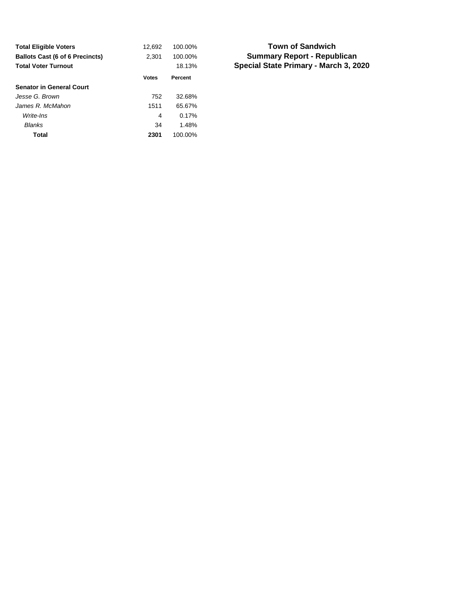| <b>Total Eligible Voters</b>           | 12,692       | 100.00% |
|----------------------------------------|--------------|---------|
| <b>Ballots Cast (6 of 6 Precincts)</b> | 2,301        | 100.00% |
| <b>Total Voter Turnout</b>             |              | 18.13%  |
|                                        | <b>Votes</b> | Percent |
| <b>Senator in General Court</b>        |              |         |
| Jesse G. Brown                         | 752          | 32.68%  |
| James R. McMahon                       | 1511         | 65.67%  |
| Write-Ins                              | 4            | 0.17%   |
| <b>Blanks</b>                          | 34           | 1.48%   |
| Total                                  | 2301         | 100.00% |

#### **Summary Report - Republican Special State Primary - March 3, 2020 Town of Sandwich**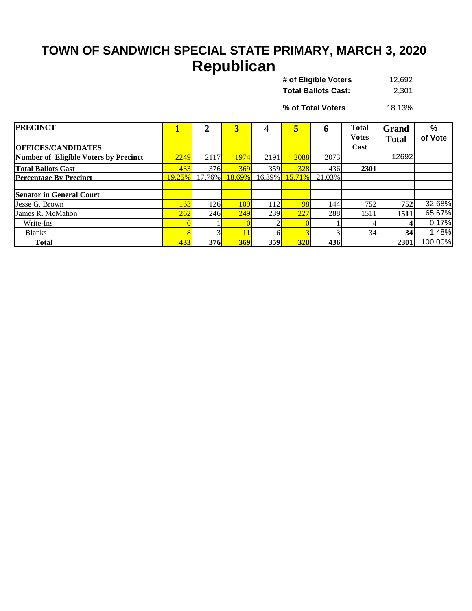# **TOWN OF SANDWICH SPECIAL STATE PRIMARY, MARCH 3, 2020 Republican**

| # of Eligible Voters       | 12.692 |
|----------------------------|--------|
| <b>Total Ballots Cast:</b> | 2.301  |

18.13% **% of Total Voters**

| <b>PRECINCT</b>                       |        |        | $\overline{3}$ |           | 5          | n      | <b>Total</b><br><b>Votes</b> | Grand<br><b>Total</b> | %<br>of Vote |
|---------------------------------------|--------|--------|----------------|-----------|------------|--------|------------------------------|-----------------------|--------------|
| <b>OFFICES/CANDIDATES</b>             |        |        |                |           |            |        | Cast                         |                       |              |
| Number of Eligible Voters by Precinct | 2249   | 2117   | 1974           | 2191      | 2088       | 2073   |                              | 12692                 |              |
| <b>Total Ballots Cast</b>             | 433    | 376    | 369            | 359       | 328        | 436    | 2301                         |                       |              |
| <b>Percentage By Precinct</b>         | 19.25% | 17.76% | 18.69%         | $16.39\%$ | 15.71%     | 21.03% |                              |                       |              |
|                                       |        |        |                |           |            |        |                              |                       |              |
| <b>Senator in General Court</b>       |        |        |                |           |            |        |                              |                       |              |
| Jesse G. Brown                        | 163    | 126I   | 109            | 112       | 98         | 144    | 752                          | 752                   | 32.68%       |
| James R. McMahon                      | 262    | 246    | 249            | 239       | 227        | 288    | 1511                         | 1511                  | 65.67%       |
| Write-Ins                             |        |        |                |           |            |        |                              |                       | 0.17%        |
| <b>Blanks</b>                         |        |        |                |           |            |        | 34                           | 34                    | 1.48%        |
| <b>Total</b>                          | 433    | 376    | 369            | 359       | <b>328</b> | 436    |                              | 2301                  | 100.00%      |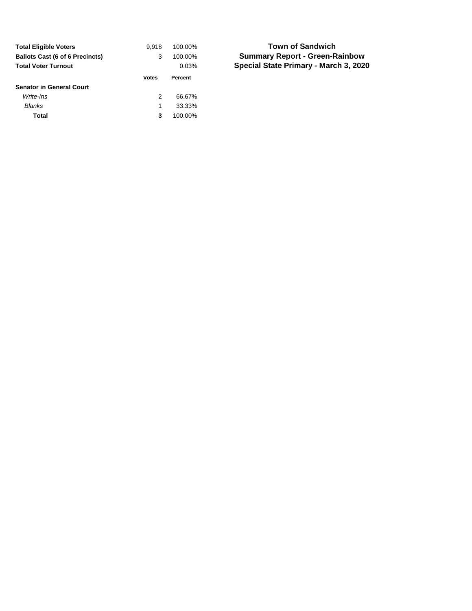| <b>Total Eligible Voters</b>           | 9.918 | 100.00% |
|----------------------------------------|-------|---------|
| <b>Ballots Cast (6 of 6 Precincts)</b> | 3     | 100.00% |
| <b>Total Voter Turnout</b>             |       | 0.03%   |
|                                        | Votes | Percent |
|                                        |       |         |
| <b>Senator in General Court</b>        |       |         |
| Write-Ins                              | 2     | 66.67%  |
| Blanks                                 | 1     | 33.33%  |

#### **Summary Report - Green-Rainbow Special State Primary - March 3, 2020 Town of Sandwich**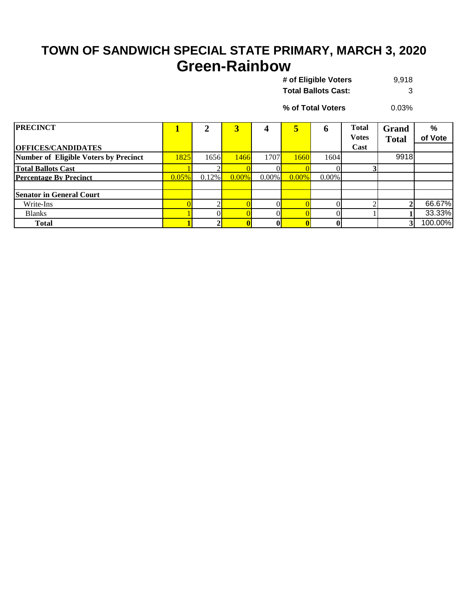## **TOWN OF SANDWICH SPECIAL STATE PRIMARY, MARCH 3, 2020 Green-Rainbow**

9,918 **Total Ballots Cast:** 3 **# of Eligible Voters** 

0.03% **% of Total Voters**

| <b>PRECINCT</b>                       |       |          | 3        |          | 5        | o        | <b>Total</b><br><b>Votes</b> | <b>Grand</b><br><b>Total</b> | $\%$<br>of Vote |
|---------------------------------------|-------|----------|----------|----------|----------|----------|------------------------------|------------------------------|-----------------|
| <b>OFFICES/CANDIDATES</b>             |       |          |          |          |          |          | Cast                         |                              |                 |
| Number of Eligible Voters by Precinct | 1825  | 1656     | 1466     | 1707     | 1660     | 1604     |                              | 9918                         |                 |
| <b>Total Ballots Cast</b>             |       |          |          |          |          |          |                              |                              |                 |
| <b>Percentage By Precinct</b>         | 0.05% | $0.12\%$ | $0.00\%$ | $0.00\%$ | $0.00\%$ | $0.00\%$ |                              |                              |                 |
|                                       |       |          |          |          |          |          |                              |                              |                 |
| <b>Senator in General Court</b>       |       |          |          |          |          |          |                              |                              |                 |
| Write-Ins                             |       |          |          |          |          |          |                              |                              | 66.67%          |
| <b>Blanks</b>                         |       |          |          |          |          |          |                              |                              | 33.33%          |
| <b>Total</b>                          |       |          |          |          |          |          |                              |                              | 100.00%         |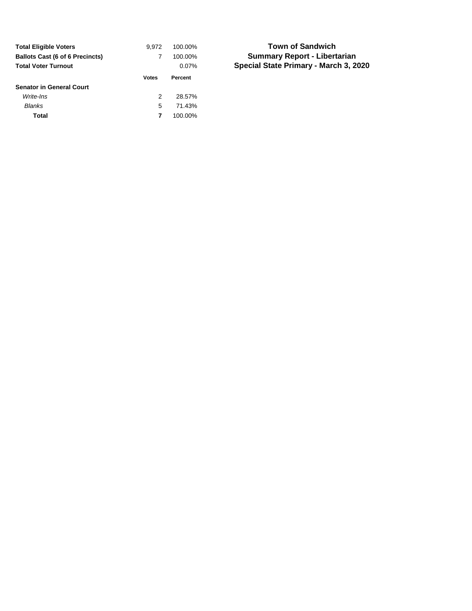| <b>Total Eligible Voters</b>           | 9.972 | 100.00%  |
|----------------------------------------|-------|----------|
| <b>Ballots Cast (6 of 6 Precincts)</b> |       | 100.00%  |
| <b>Total Voter Turnout</b>             |       | $0.07\%$ |
|                                        | Votes | Percent  |
|                                        |       |          |
| <b>Senator in General Court</b>        |       |          |
| Write-Ins                              | 2     | 28.57%   |
| <b>Blanks</b>                          | 5     | 71.43%   |

#### **Summary Report - Libertarian Special State Primary - March 3, 2020 Town of Sandwich**